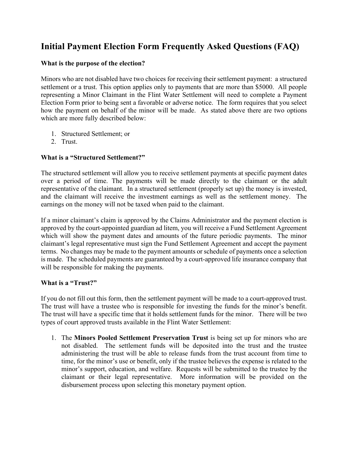# **Initial Payment Election Form Frequently Asked Questions (FAQ)**

## **What is the purpose of the election?**

Minors who are not disabled have two choices for receiving their settlement payment: a structured settlement or a trust. This option applies only to payments that are more than \$5000. All people representing a Minor Claimant in the Flint Water Settlement will need to complete a Payment Election Form prior to being sent a favorable or adverse notice. The form requires that you select how the payment on behalf of the minor will be made. As stated above there are two options which are more fully described below:

- 1. Structured Settlement; or
- 2. Trust.

## **What is a "Structured Settlement?"**

The structured settlement will allow you to receive settlement payments at specific payment dates over a period of time. The payments will be made directly to the claimant or the adult representative of the claimant. In a structured settlement (properly set up) the money is invested, and the claimant will receive the investment earnings as well as the settlement money. The earnings on the money will not be taxed when paid to the claimant.

If a minor claimant's claim is approved by the Claims Administrator and the payment election is approved by the court-appointed guardian ad litem, you will receive a Fund Settlement Agreement which will show the payment dates and amounts of the future periodic payments. The minor claimant's legal representative must sign the Fund Settlement Agreement and accept the payment terms. No changes may be made to the payment amounts or schedule of payments once a selection is made. The scheduled payments are guaranteed by a court-approved life insurance company that will be responsible for making the payments.

## **What is a "Trust?"**

If you do not fill out this form, then the settlement payment will be made to a court-approved trust. The trust will have a trustee who is responsible for investing the funds for the minor's benefit. The trust will have a specific time that it holds settlement funds for the minor. There will be two types of court approved trusts available in the Flint Water Settlement:

1. The **Minors Pooled Settlement Preservation Trust** is being set up for minors who are not disabled. The settlement funds will be deposited into the trust and the trustee administering the trust will be able to release funds from the trust account from time to time, for the minor's use or benefit, only if the trustee believes the expense is related to the minor's support, education, and welfare. Requests will be submitted to the trustee by the claimant or their legal representative. More information will be provided on the disbursement process upon selecting this monetary payment option.